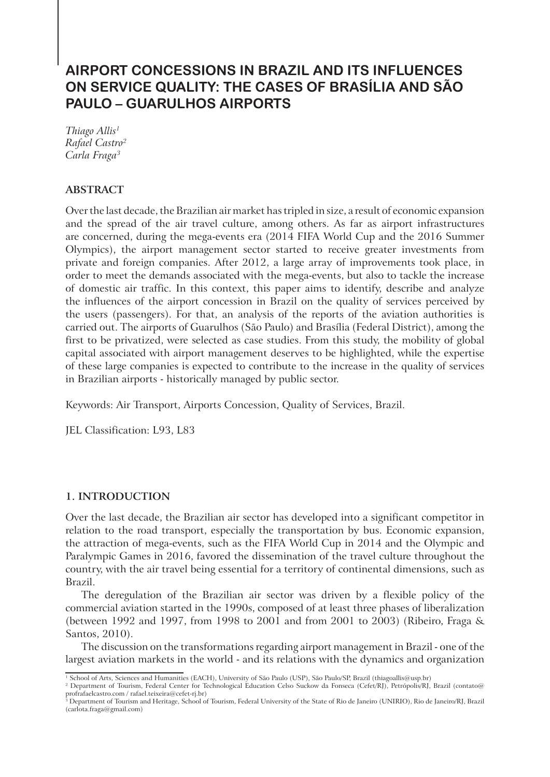# **AIRPORT CONCESSIONS IN BRAZIL AND ITS INFLUENCES ON SERVICE QUALITY: THE CASES OF BRASÍLIA AND SÃO PAULO – GUARULHOS AIRPORTS**

*Thiago Allis1 Rafael Castro2 Carla Fraga3*

# **ABSTRACT**

Over the last decade, the Brazilian air market has tripled in size, a result of economic expansion and the spread of the air travel culture, among others. As far as airport infrastructures are concerned, during the mega-events era (2014 FIFA World Cup and the 2016 Summer Olympics), the airport management sector started to receive greater investments from private and foreign companies. After 2012, a large array of improvements took place, in order to meet the demands associated with the mega-events, but also to tackle the increase of domestic air traffic. In this context, this paper aims to identify, describe and analyze the influences of the airport concession in Brazil on the quality of services perceived by the users (passengers). For that, an analysis of the reports of the aviation authorities is carried out. The airports of Guarulhos (São Paulo) and Brasília (Federal District), among the first to be privatized, were selected as case studies. From this study, the mobility of global capital associated with airport management deserves to be highlighted, while the expertise of these large companies is expected to contribute to the increase in the quality of services in Brazilian airports - historically managed by public sector.

Keywords: Air Transport, Airports Concession, Quality of Services, Brazil.

JEL Classification: L93, L83

# **1. INTRODUCTION**

Over the last decade, the Brazilian air sector has developed into a significant competitor in relation to the road transport, especially the transportation by bus. Economic expansion, the attraction of mega-events, such as the FIFA World Cup in 2014 and the Olympic and Paralympic Games in 2016, favored the dissemination of the travel culture throughout the country, with the air travel being essential for a territory of continental dimensions, such as Brazil.

The deregulation of the Brazilian air sector was driven by a flexible policy of the commercial aviation started in the 1990s, composed of at least three phases of liberalization (between 1992 and 1997, from 1998 to 2001 and from 2001 to 2003) (Ribeiro, Fraga & Santos, 2010).

The discussion on the transformations regarding airport management in Brazil - one of the largest aviation markets in the world - and its relations with the dynamics and organization

<sup>1</sup> School of Arts, Sciences and Humanities (EACH), University of São Paulo (USP), São Paulo/SP, Brazil (thiagoallis@usp.br)

<sup>2</sup> Department of Tourism, Federal Center for Technological Education Celso Suckow da Fonseca (Cefet/RJ), Petrópolis/RJ, Brazil (contato@ profrafaelcastro.com / rafael.teixeira@cefet-rj.br)

 $^{\frac{1}{3}}$  Department of Tourism and Heritage, School of Tourism, Federal University of the State of Rio de Janeiro (UNIRIO), Rio de Janeiro/RJ, Brazil (carlota.fraga@gmail.com)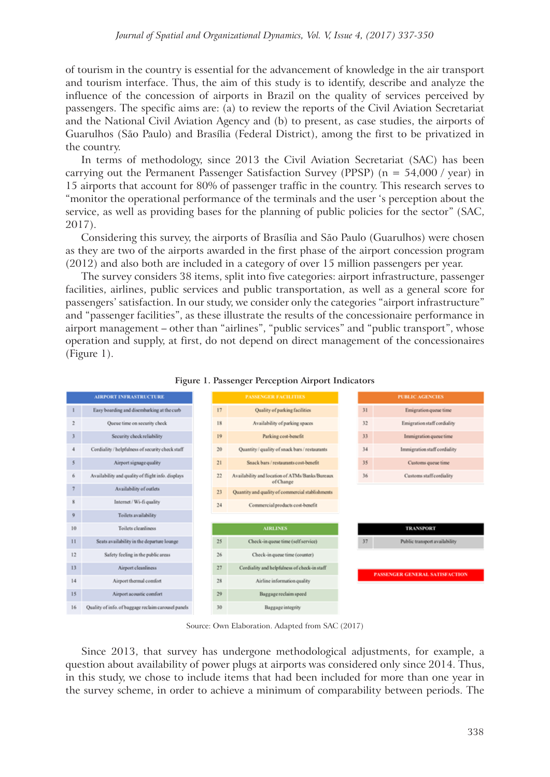of tourism in the country is essential for the advancement of knowledge in the air transport and tourism interface. Thus, the aim of this study is to identify, describe and analyze the influence of the concession of airports in Brazil on the quality of services perceived by passengers. The specific aims are: (a) to review the reports of the Civil Aviation Secretariat and the National Civil Aviation Agency and (b) to present, as case studies, the airports of Guarulhos (São Paulo) and Brasília (Federal District), among the first to be privatized in the country.

In terms of methodology, since 2013 the Civil Aviation Secretariat (SAC) has been carrying out the Permanent Passenger Satisfaction Survey (PPSP) ( $n = 54,000 / year$ ) in 15 airports that account for 80% of passenger traffic in the country. This research serves to "monitor the operational performance of the terminals and the user 's perception about the service, as well as providing bases for the planning of public policies for the sector" (SAC, 2017).

Considering this survey, the airports of Brasília and São Paulo (Guarulhos) were chosen as they are two of the airports awarded in the first phase of the airport concession program (2012) and also both are included in a category of over 15 million passengers per year.

The survey considers 38 items, split into five categories: airport infrastructure, passenger facilities, airlines, public services and public transportation, as well as a general score for passengers' satisfaction. In our study, we consider only the categories "airport infrastructure" and "passenger facilities", as these illustrate the results of the concessionaire performance in airport management – other than "airlines", "public services" and "public transport", whose operation and supply, at first, do not depend on direct management of the concessionaires (Figure 1).





Source: Own Elaboration. Adapted from SAC (2017)

Since 2013, that survey has undergone methodological adjustments, for example, a question about availability of power plugs at airports was considered only since 2014. Thus, in this study, we chose to include items that had been included for more than one year in the survey scheme, in order to achieve a minimum of comparability between periods. The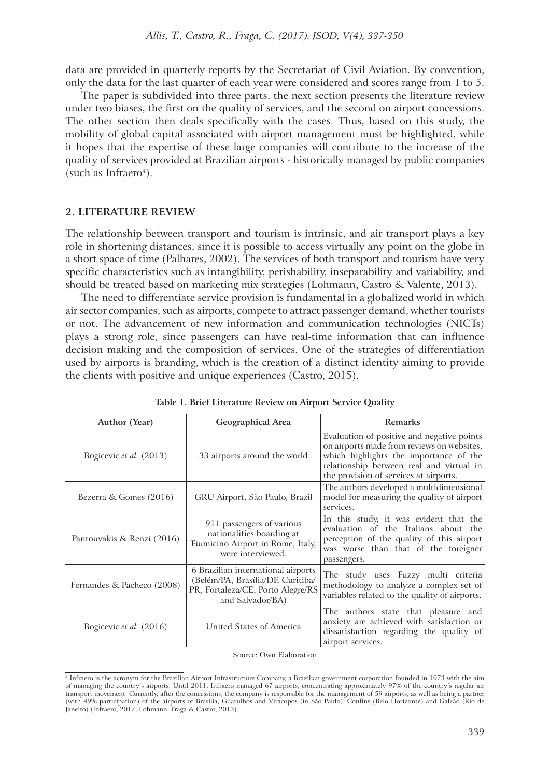data are provided in quarterly reports by the Secretariat of Civil Aviation. By convention, only the data for the last quarter of each year were considered and scores range from 1 to 5.

The paper is subdivided into three parts, the next section presents the literature review under two biases, the first on the quality of services, and the second on airport concessions. The other section then deals specifically with the cases. Thus, based on this study, the mobility of global capital associated with airport management must be highlighted, while it hopes that the expertise of these large companies will contribute to the increase of the quality of services provided at Brazilian airports - historically managed by public companies (such as Infraero<sup>4</sup>).

## **2. LITERATURE REVIEW**

The relationship between transport and tourism is intrinsic, and air transport plays a key role in shortening distances, since it is possible to access virtually any point on the globe in a short space of time (Palhares, 2002). The services of both transport and tourism have very specific characteristics such as intangibility, perishability, inseparability and variability, and should be treated based on marketing mix strategies (Lohmann, Castro & Valente, 2013).

The need to differentiate service provision is fundamental in a globalized world in which air sector companies, such as airports, compete to attract passenger demand, whether tourists or not. The advancement of new information and communication technologies (NICTs) plays a strong role, since passengers can have real-time information that can influence decision making and the composition of services. One of the strategies of differentiation used by airports is branding, which is the creation of a distinct identity aiming to provide the clients with positive and unique experiences (Castro, 2015).

| <b>Author</b> (Year)       | <b>Geographical Area</b>                                                                                                         | <b>Remarks</b>                                                                                                                                                                                                           |  |
|----------------------------|----------------------------------------------------------------------------------------------------------------------------------|--------------------------------------------------------------------------------------------------------------------------------------------------------------------------------------------------------------------------|--|
| Bogicevic et al. (2013)    | 33 airports around the world                                                                                                     | Evaluation of positive and negative points<br>on airports made from reviews on websites,<br>which highlights the importance of the<br>relationship between real and virtual in<br>the provision of services at airports. |  |
| Bezerra & Gomes (2016)     | GRU Airport, São Paulo, Brazil                                                                                                   | The authors developed a multidimensional<br>model for measuring the quality of airport<br>services.                                                                                                                      |  |
| Pantouvakis & Renzi (2016) | 911 passengers of various<br>nationalities boarding at<br>Fiumicino Airport in Rome, Italy,<br>were interviewed.                 | In this study, it was evident that the<br>evaluation of the Italians about the<br>perception of the quality of this airport<br>was worse than that of the foreigner<br>passengers.                                       |  |
| Fernandes & Pacheco (2008) | 6 Brazilian international airports<br>(Belém/PA, Brasília/DF, Curitiba/<br>PR, Fortaleza/CE, Porto Alegre/RS<br>and Salvador/BA) | The study uses Fuzzy multi criteria<br>methodology to analyze a complex set of<br>variables related to the quality of airports.                                                                                          |  |
| Bogicevic et al. (2016)    | United States of America                                                                                                         | The authors state that pleasure and<br>anxiety are achieved with satisfaction or<br>dissatisfaction regarding the quality of<br>airport services.                                                                        |  |

|  | Table 1. Brief Literature Review on Airport Service Quality |  |  |  |
|--|-------------------------------------------------------------|--|--|--|
|--|-------------------------------------------------------------|--|--|--|

Source: Own Elaboration

<sup>4</sup> Infraero is the acronym for the Brazilian Airport Infrastructure Company, a Brazilian government corporation founded in 1973 with the aim of managing the country's airports. Until 2011, Infraero managed 67 airports, concentrating approximately 97% of the country's regular air transport movement. Currently, after the concessions, the company is responsible for the management of 59 airports, as well as being a partner (with 49% participation) of the airports of Brasília, Guarulhos and Viracopos (in São Paulo), Confins (Belo Horizonte) and Galeão (Rio de Janeiro) (Infraero, 2017; Lohmann, Fraga & Castro, 2013).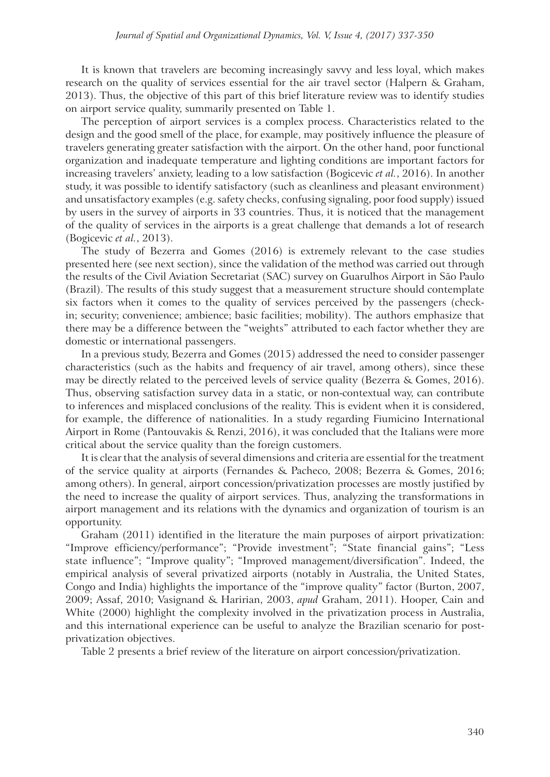It is known that travelers are becoming increasingly savvy and less loyal, which makes research on the quality of services essential for the air travel sector (Halpern & Graham, 2013). Thus, the objective of this part of this brief literature review was to identify studies on airport service quality, summarily presented on Table 1.

The perception of airport services is a complex process. Characteristics related to the design and the good smell of the place, for example, may positively influence the pleasure of travelers generating greater satisfaction with the airport. On the other hand, poor functional organization and inadequate temperature and lighting conditions are important factors for increasing travelers' anxiety, leading to a low satisfaction (Bogicevic *et al.*, 2016). In another study, it was possible to identify satisfactory (such as cleanliness and pleasant environment) and unsatisfactory examples (e.g. safety checks, confusing signaling, poor food supply) issued by users in the survey of airports in 33 countries. Thus, it is noticed that the management of the quality of services in the airports is a great challenge that demands a lot of research (Bogicevic *et al.*, 2013).

The study of Bezerra and Gomes (2016) is extremely relevant to the case studies presented here (see next section), since the validation of the method was carried out through the results of the Civil Aviation Secretariat (SAC) survey on Guarulhos Airport in São Paulo (Brazil). The results of this study suggest that a measurement structure should contemplate six factors when it comes to the quality of services perceived by the passengers (checkin; security; convenience; ambience; basic facilities; mobility). The authors emphasize that there may be a difference between the "weights" attributed to each factor whether they are domestic or international passengers.

In a previous study, Bezerra and Gomes (2015) addressed the need to consider passenger characteristics (such as the habits and frequency of air travel, among others), since these may be directly related to the perceived levels of service quality (Bezerra & Gomes, 2016). Thus, observing satisfaction survey data in a static, or non-contextual way, can contribute to inferences and misplaced conclusions of the reality. This is evident when it is considered, for example, the difference of nationalities. In a study regarding Fiumicino International Airport in Rome (Pantouvakis & Renzi, 2016), it was concluded that the Italians were more critical about the service quality than the foreign customers.

It is clear that the analysis of several dimensions and criteria are essential for the treatment of the service quality at airports (Fernandes & Pacheco, 2008; Bezerra & Gomes, 2016; among others). In general, airport concession/privatization processes are mostly justified by the need to increase the quality of airport services. Thus, analyzing the transformations in airport management and its relations with the dynamics and organization of tourism is an opportunity.

Graham (2011) identified in the literature the main purposes of airport privatization: "Improve efficiency/performance"; "Provide investment"; "State financial gains"; "Less state influence"; "Improve quality"; "Improved management/diversification". Indeed, the empirical analysis of several privatized airports (notably in Australia, the United States, Congo and India) highlights the importance of the "improve quality" factor (Burton, 2007, 2009; Assaf, 2010; Vasignand & Haririan, 2003, *apud* Graham, 2011). Hooper, Cain and White (2000) highlight the complexity involved in the privatization process in Australia, and this international experience can be useful to analyze the Brazilian scenario for postprivatization objectives.

Table 2 presents a brief review of the literature on airport concession/privatization.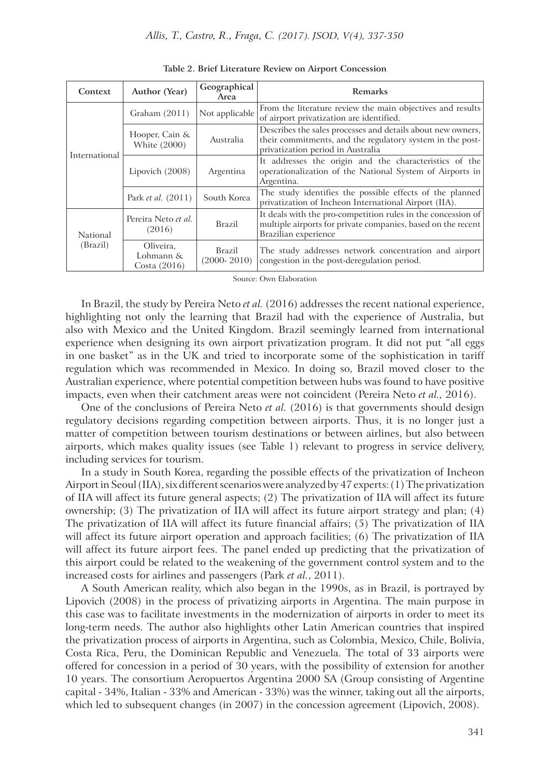| Context              | Author (Year)                          | Geographical<br>Area      | Remarks                                                                                                                                                       |
|----------------------|----------------------------------------|---------------------------|---------------------------------------------------------------------------------------------------------------------------------------------------------------|
| International        | Graham $(2011)$                        | Not applicable            | From the literature review the main objectives and results<br>of airport privatization are identified.                                                        |
|                      | Hooper, Cain &<br>White (2000)         | Australia                 | Describes the sales processes and details about new owners,<br>their commitments, and the regulatory system in the post-<br>privatization period in Australia |
|                      | Lipovich (2008)                        | Argentina                 | It addresses the origin and the characteristics of the<br>operationalization of the National System of Airports in<br>Argentina.                              |
|                      | Park et al. (2011)                     | South Korea               | The study identifies the possible effects of the planned<br>privatization of Incheon International Airport (IIA).                                             |
| National<br>(Brazil) | Pereira Neto et al.<br>(2016)          | <b>Brazil</b>             | It deals with the pro-competition rules in the concession of<br>multiple airports for private companies, based on the recent<br>Brazilian experience          |
|                      | Oliveira,<br>Lohmann &<br>Costa (2016) | Brazil<br>$(2000 - 2010)$ | The study addresses network concentration and airport<br>congestion in the post-deregulation period.                                                          |

**Table 2. Brief Literature Review on Airport Concession**

Source: Own Elaboration

In Brazil, the study by Pereira Neto *et al.* (2016) addresses the recent national experience, highlighting not only the learning that Brazil had with the experience of Australia, but also with Mexico and the United Kingdom. Brazil seemingly learned from international experience when designing its own airport privatization program. It did not put "all eggs in one basket" as in the UK and tried to incorporate some of the sophistication in tariff regulation which was recommended in Mexico. In doing so, Brazil moved closer to the Australian experience, where potential competition between hubs was found to have positive impacts, even when their catchment areas were not coincident (Pereira Neto *et al.,* 2016).

One of the conclusions of Pereira Neto *et al.* (2016) is that governments should design regulatory decisions regarding competition between airports. Thus, it is no longer just a matter of competition between tourism destinations or between airlines, but also between airports, which makes quality issues (see Table 1) relevant to progress in service delivery, including services for tourism.

In a study in South Korea, regarding the possible effects of the privatization of Incheon Airport in Seoul (IIA), six different scenarios were analyzed by 47 experts: (1) The privatization of IIA will affect its future general aspects; (2) The privatization of IIA will affect its future ownership; (3) The privatization of IIA will affect its future airport strategy and plan; (4) The privatization of IIA will affect its future financial affairs; (5) The privatization of IIA will affect its future airport operation and approach facilities; (6) The privatization of IIA will affect its future airport fees. The panel ended up predicting that the privatization of this airport could be related to the weakening of the government control system and to the increased costs for airlines and passengers (Park *et al.*, 2011).

A South American reality, which also began in the 1990s, as in Brazil, is portrayed by Lipovich (2008) in the process of privatizing airports in Argentina. The main purpose in this case was to facilitate investments in the modernization of airports in order to meet its long-term needs. The author also highlights other Latin American countries that inspired the privatization process of airports in Argentina, such as Colombia, Mexico, Chile, Bolivia, Costa Rica, Peru, the Dominican Republic and Venezuela. The total of 33 airports were offered for concession in a period of 30 years, with the possibility of extension for another 10 years. The consortium Aeropuertos Argentina 2000 SA (Group consisting of Argentine capital - 34%, Italian - 33% and American - 33%) was the winner, taking out all the airports, which led to subsequent changes (in 2007) in the concession agreement (Lipovich, 2008).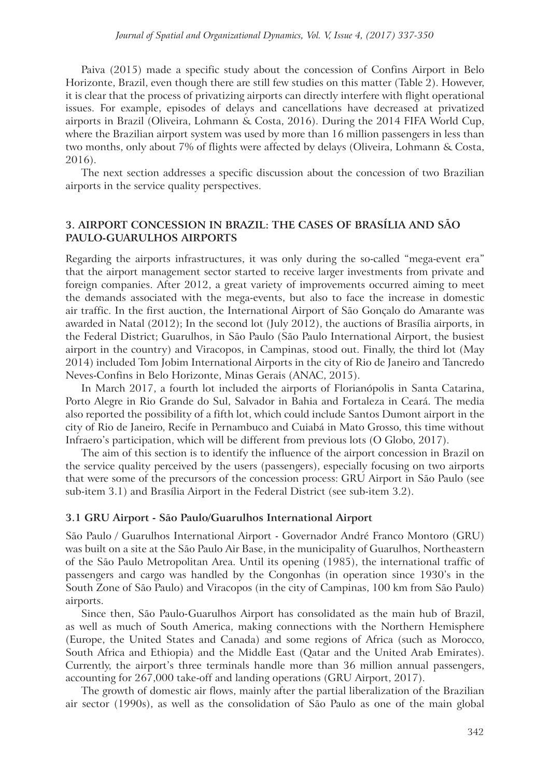Paiva (2015) made a specific study about the concession of Confins Airport in Belo Horizonte, Brazil, even though there are still few studies on this matter (Table 2). However, it is clear that the process of privatizing airports can directly interfere with flight operational issues. For example, episodes of delays and cancellations have decreased at privatized airports in Brazil (Oliveira, Lohmann & Costa, 2016). During the 2014 FIFA World Cup, where the Brazilian airport system was used by more than 16 million passengers in less than two months, only about 7% of flights were affected by delays (Oliveira, Lohmann & Costa, 2016).

The next section addresses a specific discussion about the concession of two Brazilian airports in the service quality perspectives.

# **3. AIRPORT CONCESSION IN BRAZIL: THE CASES OF BRASÍLIA AND SÃO PAULO-GUARULHOS AIRPORTS**

Regarding the airports infrastructures, it was only during the so-called "mega-event era" that the airport management sector started to receive larger investments from private and foreign companies. After 2012, a great variety of improvements occurred aiming to meet the demands associated with the mega-events, but also to face the increase in domestic air traffic. In the first auction, the International Airport of São Gonçalo do Amarante was awarded in Natal (2012); In the second lot (July 2012), the auctions of Brasília airports, in the Federal District; Guarulhos, in São Paulo (São Paulo International Airport, the busiest airport in the country) and Viracopos, in Campinas, stood out. Finally, the third lot (May 2014) included Tom Jobim International Airports in the city of Rio de Janeiro and Tancredo Neves-Confins in Belo Horizonte, Minas Gerais (ANAC, 2015).

In March 2017, a fourth lot included the airports of Florianópolis in Santa Catarina, Porto Alegre in Rio Grande do Sul, Salvador in Bahia and Fortaleza in Ceará. The media also reported the possibility of a fifth lot, which could include Santos Dumont airport in the city of Rio de Janeiro, Recife in Pernambuco and Cuiabá in Mato Grosso, this time without Infraero's participation, which will be different from previous lots (O Globo, 2017).

The aim of this section is to identify the influence of the airport concession in Brazil on the service quality perceived by the users (passengers), especially focusing on two airports that were some of the precursors of the concession process: GRU Airport in São Paulo (see sub-item 3.1) and Brasília Airport in the Federal District (see sub-item 3.2).

## **3.1 GRU Airport - São Paulo/Guarulhos International Airport**

São Paulo / Guarulhos International Airport - Governador André Franco Montoro (GRU) was built on a site at the São Paulo Air Base, in the municipality of Guarulhos, Northeastern of the São Paulo Metropolitan Area. Until its opening (1985), the international traffic of passengers and cargo was handled by the Congonhas (in operation since 1930's in the South Zone of São Paulo) and Viracopos (in the city of Campinas, 100 km from São Paulo) airports.

Since then, São Paulo-Guarulhos Airport has consolidated as the main hub of Brazil, as well as much of South America, making connections with the Northern Hemisphere (Europe, the United States and Canada) and some regions of Africa (such as Morocco, South Africa and Ethiopia) and the Middle East (Qatar and the United Arab Emirates). Currently, the airport's three terminals handle more than 36 million annual passengers, accounting for 267,000 take-off and landing operations (GRU Airport, 2017).

The growth of domestic air flows, mainly after the partial liberalization of the Brazilian air sector (1990s), as well as the consolidation of São Paulo as one of the main global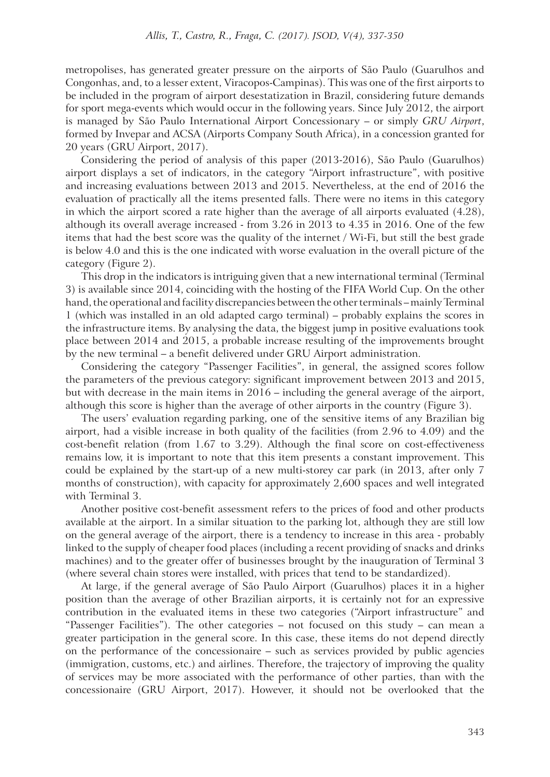metropolises, has generated greater pressure on the airports of São Paulo (Guarulhos and Congonhas, and, to a lesser extent, Viracopos-Campinas). This was one of the first airports to be included in the program of airport desestatization in Brazil, considering future demands for sport mega-events which would occur in the following years. Since July 2012, the airport is managed by São Paulo International Airport Concessionary – or simply *GRU Airport*, formed by Invepar and ACSA (Airports Company South Africa), in a concession granted for 20 years (GRU Airport, 2017).

Considering the period of analysis of this paper (2013-2016), São Paulo (Guarulhos) airport displays a set of indicators, in the category "Airport infrastructure", with positive and increasing evaluations between 2013 and 2015. Nevertheless, at the end of 2016 the evaluation of practically all the items presented falls. There were no items in this category in which the airport scored a rate higher than the average of all airports evaluated (4.28), although its overall average increased - from 3.26 in 2013 to 4.35 in 2016. One of the few items that had the best score was the quality of the internet / Wi-Fi, but still the best grade is below 4.0 and this is the one indicated with worse evaluation in the overall picture of the category (Figure 2).

This drop in the indicators is intriguing given that a new international terminal (Terminal 3) is available since 2014, coinciding with the hosting of the FIFA World Cup. On the other hand, the operational and facility discrepancies between the other terminals – mainly Terminal 1 (which was installed in an old adapted cargo terminal) – probably explains the scores in the infrastructure items. By analysing the data, the biggest jump in positive evaluations took place between 2014 and 2015, a probable increase resulting of the improvements brought by the new terminal – a benefit delivered under GRU Airport administration.

Considering the category "Passenger Facilities", in general, the assigned scores follow the parameters of the previous category: significant improvement between 2013 and 2015, but with decrease in the main items in 2016 – including the general average of the airport, although this score is higher than the average of other airports in the country (Figure 3).

The users' evaluation regarding parking, one of the sensitive items of any Brazilian big airport, had a visible increase in both quality of the facilities (from 2.96 to 4.09) and the cost-benefit relation (from 1.67 to 3.29). Although the final score on cost-effectiveness remains low, it is important to note that this item presents a constant improvement. This could be explained by the start-up of a new multi-storey car park (in 2013, after only 7 months of construction), with capacity for approximately 2,600 spaces and well integrated with Terminal 3.

Another positive cost-benefit assessment refers to the prices of food and other products available at the airport. In a similar situation to the parking lot, although they are still low on the general average of the airport, there is a tendency to increase in this area - probably linked to the supply of cheaper food places (including a recent providing of snacks and drinks machines) and to the greater offer of businesses brought by the inauguration of Terminal 3 (where several chain stores were installed, with prices that tend to be standardized).

At large, if the general average of São Paulo Airport (Guarulhos) places it in a higher position than the average of other Brazilian airports, it is certainly not for an expressive contribution in the evaluated items in these two categories ("Airport infrastructure" and "Passenger Facilities"). The other categories – not focused on this study – can mean a greater participation in the general score. In this case, these items do not depend directly on the performance of the concessionaire – such as services provided by public agencies (immigration, customs, etc.) and airlines. Therefore, the trajectory of improving the quality of services may be more associated with the performance of other parties, than with the concessionaire (GRU Airport, 2017). However, it should not be overlooked that the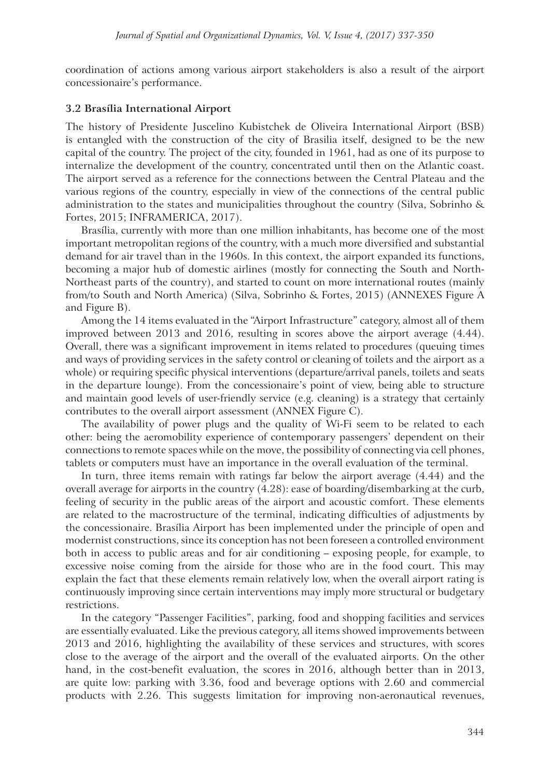coordination of actions among various airport stakeholders is also a result of the airport concessionaire's performance.

## **3.2 Brasília International Airport**

The history of Presidente Juscelino Kubistchek de Oliveira International Airport (BSB) is entangled with the construction of the city of Brasilia itself, designed to be the new capital of the country. The project of the city, founded in 1961, had as one of its purpose to internalize the development of the country, concentrated until then on the Atlantic coast. The airport served as a reference for the connections between the Central Plateau and the various regions of the country, especially in view of the connections of the central public administration to the states and municipalities throughout the country (Silva, Sobrinho & Fortes, 2015; INFRAMERICA, 2017).

Brasília, currently with more than one million inhabitants, has become one of the most important metropolitan regions of the country, with a much more diversified and substantial demand for air travel than in the 1960s. In this context, the airport expanded its functions, becoming a major hub of domestic airlines (mostly for connecting the South and North-Northeast parts of the country), and started to count on more international routes (mainly from/to South and North America) (Silva, Sobrinho & Fortes, 2015) (ANNEXES Figure A and Figure B).

Among the 14 items evaluated in the "Airport Infrastructure" category, almost all of them improved between 2013 and 2016, resulting in scores above the airport average (4.44). Overall, there was a significant improvement in items related to procedures (queuing times and ways of providing services in the safety control or cleaning of toilets and the airport as a whole) or requiring specific physical interventions (departure/arrival panels, toilets and seats in the departure lounge). From the concessionaire's point of view, being able to structure and maintain good levels of user-friendly service (e.g. cleaning) is a strategy that certainly contributes to the overall airport assessment (ANNEX Figure C).

The availability of power plugs and the quality of Wi-Fi seem to be related to each other: being the aeromobility experience of contemporary passengers' dependent on their connections to remote spaces while on the move, the possibility of connecting via cell phones, tablets or computers must have an importance in the overall evaluation of the terminal.

In turn, three items remain with ratings far below the airport average (4.44) and the overall average for airports in the country (4.28): ease of boarding/disembarking at the curb, feeling of security in the public areas of the airport and acoustic comfort. These elements are related to the macrostructure of the terminal, indicating difficulties of adjustments by the concessionaire. Brasília Airport has been implemented under the principle of open and modernist constructions, since its conception has not been foreseen a controlled environment both in access to public areas and for air conditioning – exposing people, for example, to excessive noise coming from the airside for those who are in the food court. This may explain the fact that these elements remain relatively low, when the overall airport rating is continuously improving since certain interventions may imply more structural or budgetary restrictions.

In the category "Passenger Facilities", parking, food and shopping facilities and services are essentially evaluated. Like the previous category, all items showed improvements between 2013 and 2016, highlighting the availability of these services and structures, with scores close to the average of the airport and the overall of the evaluated airports. On the other hand, in the cost-benefit evaluation, the scores in 2016, although better than in 2013, are quite low: parking with 3.36, food and beverage options with 2.60 and commercial products with 2.26. This suggests limitation for improving non-aeronautical revenues,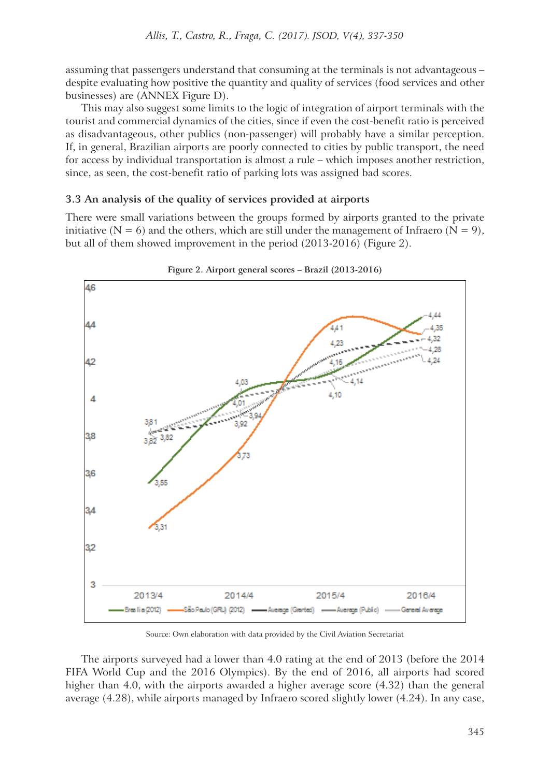assuming that passengers understand that consuming at the terminals is not advantageous – despite evaluating how positive the quantity and quality of services (food services and other businesses) are (ANNEX Figure D).

This may also suggest some limits to the logic of integration of airport terminals with the tourist and commercial dynamics of the cities, since if even the cost-benefit ratio is perceived as disadvantageous, other publics (non-passenger) will probably have a similar perception. If, in general, Brazilian airports are poorly connected to cities by public transport, the need for access by individual transportation is almost a rule – which imposes another restriction, since, as seen, the cost-benefit ratio of parking lots was assigned bad scores.

# **3.3 An analysis of the quality of services provided at airports**

There were small variations between the groups formed by airports granted to the private initiative ( $N = 6$ ) and the others, which are still under the management of Infraero ( $N = 9$ ), but all of them showed improvement in the period (2013-2016) (Figure 2).





Source: Own elaboration with data provided by the Civil Aviation Secretariat

The airports surveyed had a lower than 4.0 rating at the end of 2013 (before the 2014 FIFA World Cup and the 2016 Olympics). By the end of 2016, all airports had scored higher than 4.0, with the airports awarded a higher average score (4.32) than the general average (4.28), while airports managed by Infraero scored slightly lower (4.24). In any case,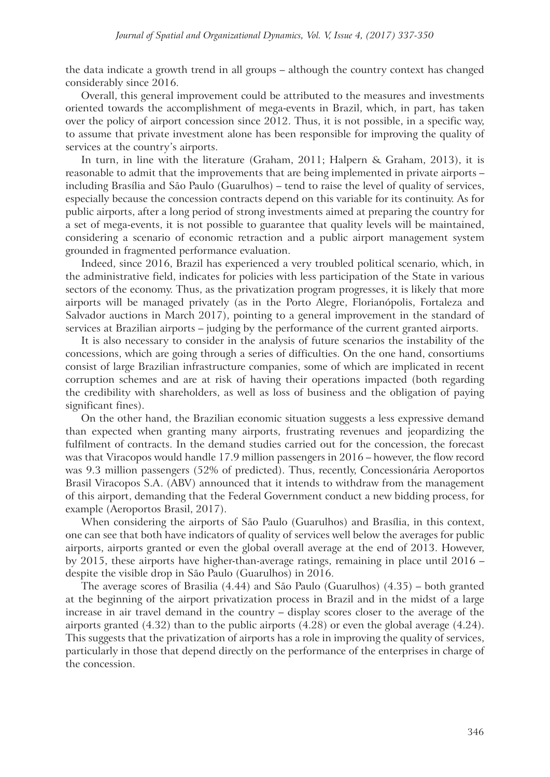the data indicate a growth trend in all groups – although the country context has changed considerably since 2016.

Overall, this general improvement could be attributed to the measures and investments oriented towards the accomplishment of mega-events in Brazil, which, in part, has taken over the policy of airport concession since 2012. Thus, it is not possible, in a specific way, to assume that private investment alone has been responsible for improving the quality of services at the country's airports.

In turn, in line with the literature (Graham, 2011; Halpern & Graham, 2013), it is reasonable to admit that the improvements that are being implemented in private airports – including Brasília and São Paulo (Guarulhos) – tend to raise the level of quality of services, especially because the concession contracts depend on this variable for its continuity. As for public airports, after a long period of strong investments aimed at preparing the country for a set of mega-events, it is not possible to guarantee that quality levels will be maintained, considering a scenario of economic retraction and a public airport management system grounded in fragmented performance evaluation.

Indeed, since 2016, Brazil has experienced a very troubled political scenario, which, in the administrative field, indicates for policies with less participation of the State in various sectors of the economy. Thus, as the privatization program progresses, it is likely that more airports will be managed privately (as in the Porto Alegre, Florianópolis, Fortaleza and Salvador auctions in March 2017), pointing to a general improvement in the standard of services at Brazilian airports – judging by the performance of the current granted airports.

It is also necessary to consider in the analysis of future scenarios the instability of the concessions, which are going through a series of difficulties. On the one hand, consortiums consist of large Brazilian infrastructure companies, some of which are implicated in recent corruption schemes and are at risk of having their operations impacted (both regarding the credibility with shareholders, as well as loss of business and the obligation of paying significant fines).

On the other hand, the Brazilian economic situation suggests a less expressive demand than expected when granting many airports, frustrating revenues and jeopardizing the fulfilment of contracts. In the demand studies carried out for the concession, the forecast was that Viracopos would handle 17.9 million passengers in 2016 – however, the flow record was 9.3 million passengers (52% of predicted). Thus, recently, Concessionária Aeroportos Brasil Viracopos S.A. (ABV) announced that it intends to withdraw from the management of this airport, demanding that the Federal Government conduct a new bidding process, for example (Aeroportos Brasil, 2017).

When considering the airports of São Paulo (Guarulhos) and Brasília, in this context, one can see that both have indicators of quality of services well below the averages for public airports, airports granted or even the global overall average at the end of 2013. However, by 2015, these airports have higher-than-average ratings, remaining in place until 2016 – despite the visible drop in São Paulo (Guarulhos) in 2016.

The average scores of Brasilia (4.44) and São Paulo (Guarulhos) (4.35) – both granted at the beginning of the airport privatization process in Brazil and in the midst of a large increase in air travel demand in the country – display scores closer to the average of the airports granted (4.32) than to the public airports (4.28) or even the global average (4.24). This suggests that the privatization of airports has a role in improving the quality of services, particularly in those that depend directly on the performance of the enterprises in charge of the concession.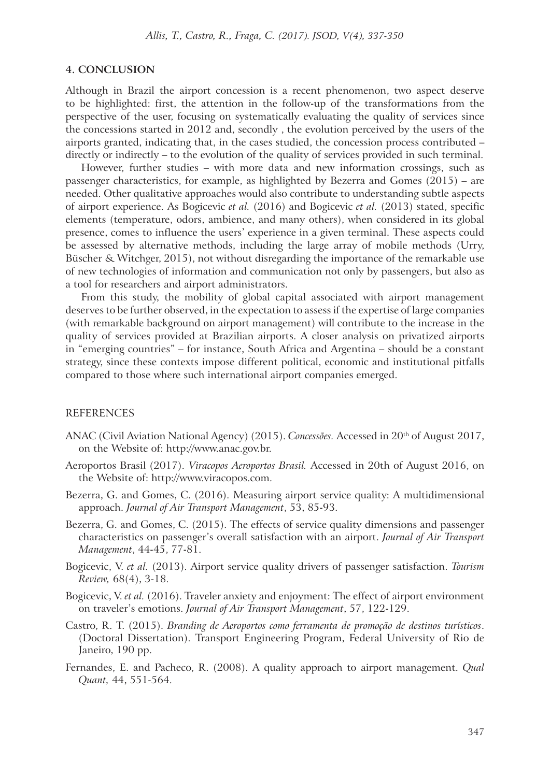## **4. CONCLUSION**

Although in Brazil the airport concession is a recent phenomenon, two aspect deserve to be highlighted: first, the attention in the follow-up of the transformations from the perspective of the user, focusing on systematically evaluating the quality of services since the concessions started in 2012 and, secondly , the evolution perceived by the users of the airports granted, indicating that, in the cases studied, the concession process contributed – directly or indirectly – to the evolution of the quality of services provided in such terminal.

However, further studies – with more data and new information crossings, such as passenger characteristics, for example, as highlighted by Bezerra and Gomes (2015) – are needed. Other qualitative approaches would also contribute to understanding subtle aspects of airport experience. As Bogicevic *et al.* (2016) and Bogicevic *et al.* (2013) stated, specific elements (temperature, odors, ambience, and many others), when considered in its global presence, comes to influence the users' experience in a given terminal. These aspects could be assessed by alternative methods, including the large array of mobile methods (Urry, Büscher & Witchger, 2015), not without disregarding the importance of the remarkable use of new technologies of information and communication not only by passengers, but also as a tool for researchers and airport administrators.

From this study, the mobility of global capital associated with airport management deserves to be further observed, in the expectation to assess if the expertise of large companies (with remarkable background on airport management) will contribute to the increase in the quality of services provided at Brazilian airports. A closer analysis on privatized airports in "emerging countries" – for instance, South Africa and Argentina – should be a constant strategy, since these contexts impose different political, economic and institutional pitfalls compared to those where such international airport companies emerged.

## REFERENCES

- ANAC (Civil Aviation National Agency) (2015). *Concessões.* Accessed in 20th of August 2017, on the Website of: http://www.anac.gov.br.
- Aeroportos Brasil (2017). *Viracopos Aeroportos Brasil.* Accessed in 20th of August 2016, on the Website of: http://www.viracopos.com.
- Bezerra, G. and Gomes, C. (2016). Measuring airport service quality: A multidimensional approach. *Journal of Air Transport Management*, 53, 85-93.
- Bezerra, G. and Gomes, C. (2015). The effects of service quality dimensions and passenger characteristics on passenger's overall satisfaction with an airport. *Journal of Air Transport Management*, 44-45, 77-81.
- Bogicevic, V. *et al.* (2013). Airport service quality drivers of passenger satisfaction. *Tourism Review,* 68(4), 3-18.
- Bogicevic, V. *et al.* (2016). Traveler anxiety and enjoyment: The effect of airport environment on traveler's emotions. *Journal of Air Transport Management*, 57, 122-129.
- Castro, R. T. (2015). *Branding de Aeroportos como ferramenta de promoção de destinos turísticos*. (Doctoral Dissertation). Transport Engineering Program, Federal University of Rio de Janeiro, 190 pp.
- Fernandes, E. and Pacheco, R. (2008). A quality approach to airport management. *Qual Quant,* 44, 551-564.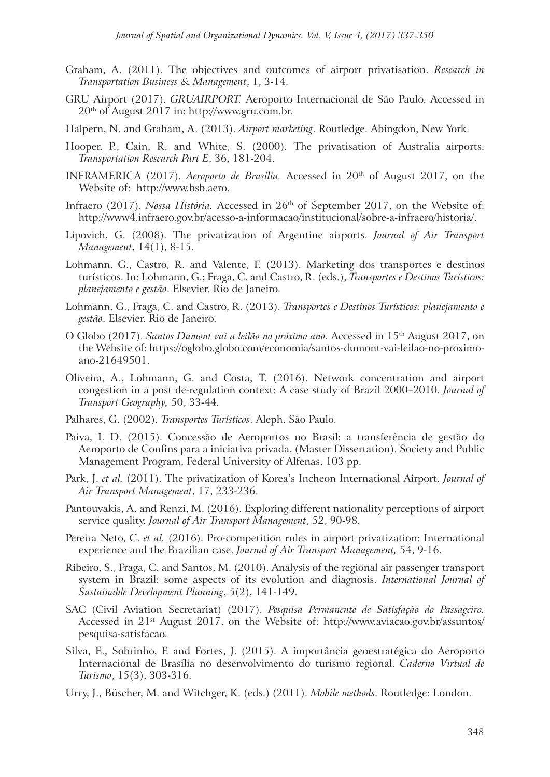- Graham, A. (2011). The objectives and outcomes of airport privatisation. *Research in Transportation Business & Management*, 1, 3-14.
- GRU Airport (2017). *GRUAIRPORT.* Aeroporto Internacional de São Paulo. Accessed in 20th of August 2017 in: http://www.gru.com.br.
- Halpern, N. and Graham, A. (2013). *Airport marketing*. Routledge. Abingdon, New York.
- Hooper, P., Cain, R. and White, S. (2000). The privatisation of Australia airports. *Transportation Research Part E*, 36, 181-204.
- INFRAMERICA (2017). *Aeroporto de Brasília.* Accessed in 20th of August 2017, on the Website of: http://www.bsb.aero.
- Infraero (2017). *Nossa História.* Accessed in 26<sup>th</sup> of September 2017, on the Website of: http://www4.infraero.gov.br/acesso-a-informacao/institucional/sobre-a-infraero/historia/.
- Lipovich, G. (2008). The privatization of Argentine airports. *Journal of Air Transport Management*, 14(1), 8-15.
- Lohmann, G., Castro, R. and Valente, F. (2013). Marketing dos transportes e destinos turísticos. In: Lohmann, G.; Fraga, C. and Castro, R. (eds.), *Transportes e Destinos Turísticos: planejamento e gestão*. Elsevier. Rio de Janeiro.
- Lohmann, G., Fraga, C. and Castro, R. (2013). *Transportes e Destinos Turísticos: planejamento e gestão*. Elsevier. Rio de Janeiro.
- O Globo (2017). *Santos Dumont vai a leilão no próximo ano*. Accessed in 15th August 2017, on the Website of: https://oglobo.globo.com/economia/santos-dumont-vai-leilao-no-proximoano-21649501.
- Oliveira, A., Lohmann, G. and Costa, T. (2016). Network concentration and airport congestion in a post de-regulation context: A case study of Brazil 2000–2010. *Journal of Transport Geography,* 50, 33-44.
- Palhares, G. (2002). *Transportes Turísticos*. Aleph. São Paulo.
- Paiva, I. D. (2015). Concessão de Aeroportos no Brasil: a transferência de gestão do Aeroporto de Confins para a iniciativa privada. (Master Dissertation). Society and Public Management Program, Federal University of Alfenas, 103 pp.
- Park, J. *et al.* (2011). The privatization of Korea's Incheon International Airport. *Journal of Air Transport Management*, 17, 233-236.
- Pantouvakis, A. and Renzi, M. (2016). Exploring different nationality perceptions of airport service quality. *Journal of Air Transport Management*, 52, 90-98.
- Pereira Neto, C. *et al.* (2016). Pro-competition rules in airport privatization: International experience and the Brazilian case. *Journal of Air Transport Management,* 54, 9-16.
- Ribeiro, S., Fraga, C. and Santos, M. (2010). Analysis of the regional air passenger transport system in Brazil: some aspects of its evolution and diagnosis. *International Journal of Sustainable Development Planning*, 5(2), 141-149.
- SAC (Civil Aviation Secretariat) (2017). *Pesquisa Permanente de Satisfação do Passageiro.* Accessed in 21st August 2017, on the Website of: http://www.aviacao.gov.br/assuntos/ pesquisa-satisfacao.
- Silva, E., Sobrinho, F. and Fortes, J. (2015). A importância geoestratégica do Aeroporto Internacional de Brasília no desenvolvimento do turismo regional. *Caderno Virtual de Turismo*, 15(3), 303-316.
- Urry, J., Büscher, M. and Witchger, K. (eds.) (2011). *Mobile methods*. Routledge: London.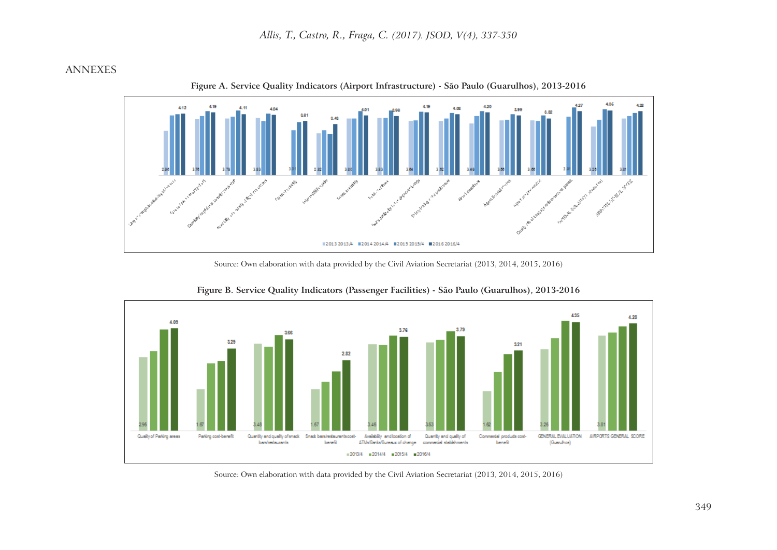# ANNEXES



**Figure A. Service Quality Indicators (Airport Infrastructure) - São Paulo (Guarulhos), 2013-2016**

Source: Own elaboration with data provided by the Civil Aviation Secretariat (2013, 2014, 2015, 2016)



**Figure B. Service Quality Indicators (Passenger Facilities) - São Paulo (Guarulhos), 2013-2016**

Source: Own elaboration with data provided by the Civil Aviation Secretariat (2013, 2014, 2015, 2016)